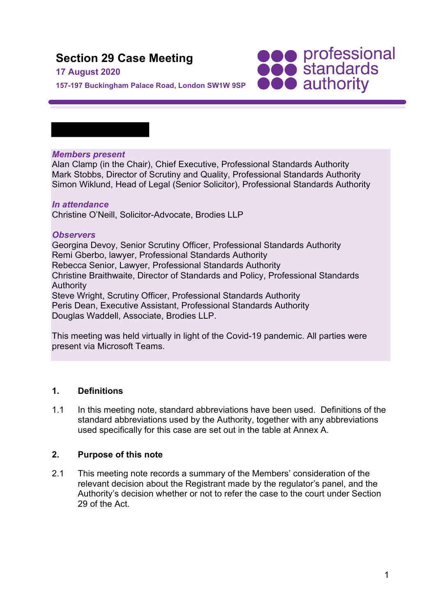# **Section 29 Case Meeting**

## **17 August 2020**

**157-197 Buckingham Palace Road, London SW1W 9SP**

## *Members present*

Alan Clamp (in the Chair), Chief Executive, Professional Standards Authority Mark Stobbs, Director of Scrutiny and Quality, Professional Standards Authority Simon Wiklund, Head of Legal (Senior Solicitor), Professional Standards Authority

**SOO professional**<br> **SOO standards**<br> **OOO** authority

#### *In attendance*

Christine O'Neill, Solicitor-Advocate, Brodies LLP

#### *Observers*

Georgina Devoy, Senior Scrutiny Officer, Professional Standards Authority Remi Gberbo, lawyer, Professional Standards Authority Rebecca Senior, Lawyer, Professional Standards Authority Christine Braithwaite, Director of Standards and Policy, Professional Standards Authority Steve Wright, Scrutiny Officer, Professional Standards Authority Peris Dean, Executive Assistant, Professional Standards Authority Douglas Waddell, Associate, Brodies LLP.

This meeting was held virtually in light of the Covid-19 pandemic. All parties were present via Microsoft Teams.

#### **1. Definitions**

1.1 In this meeting note, standard abbreviations have been used. Definitions of the standard abbreviations used by the Authority, together with any abbreviations used specifically for this case are set out in the table at Annex A.

#### **2. Purpose of this note**

2.1 This meeting note records a summary of the Members' consideration of the relevant decision about the Registrant made by the regulator's panel, and the Authority's decision whether or not to refer the case to the court under Section 29 of the Act.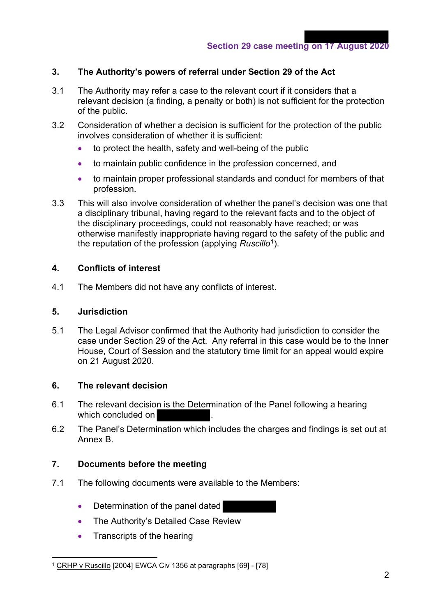## **3. The Authority's powers of referral under Section 29 of the Act**

- 3.1 The Authority may refer a case to the relevant court if it considers that a relevant decision (a finding, a penalty or both) is not sufficient for the protection of the public.
- 3.2 Consideration of whether a decision is sufficient for the protection of the public involves consideration of whether it is sufficient:
	- to protect the health, safety and well-being of the public
	- to maintain public confidence in the profession concerned, and
	- to maintain proper professional standards and conduct for members of that profession.
- 3.3 This will also involve consideration of whether the panel's decision was one that a disciplinary tribunal, having regard to the relevant facts and to the object of the disciplinary proceedings, could not reasonably have reached; or was otherwise manifestly inappropriate having regard to the safety of the public and the reputation of the profession (applying *Ruscillo*1).

## **4. Conflicts of interest**

4.1 The Members did not have any conflicts of interest.

#### **5. Jurisdiction**

5.1 The Legal Advisor confirmed that the Authority had jurisdiction to consider the case under Section 29 of the Act. Any referral in this case would be to the Inner House, Court of Session and the statutory time limit for an appeal would expire on 21 August 2020.

#### **6. The relevant decision**

- 6.1 The relevant decision is the Determination of the Panel following a hearing which concluded on
- 6.2 The Panel's Determination which includes the charges and findings is set out at Annex B.

## **7. Documents before the meeting**

- 7.1 The following documents were available to the Members:
	- Determination of the panel dated
	- The Authority's Detailed Case Review
	- Transcripts of the hearing

<sup>&</sup>lt;sup>1</sup> CRHP v Ruscillo [2004] EWCA Civ 1356 at paragraphs [69] - [78]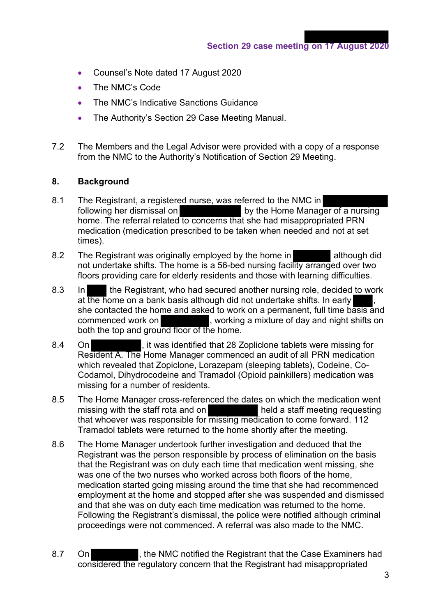- Counsel's Note dated 17 August 2020
- The NMC's Code
- The NMC's Indicative Sanctions Guidance
- The Authority's Section 29 Case Meeting Manual.
- 7.2 The Members and the Legal Advisor were provided with a copy of a response from the NMC to the Authority's Notification of Section 29 Meeting.

## **8. Background**

- 8.1 The Registrant, a registered nurse, was referred to the NMC in following her dismissal on by the Home Manager of a nursing home. The referral related to concerns that she had misappropriated PRN medication (medication prescribed to be taken when needed and not at set times).
- 8.2 The Registrant was originally employed by the home in although did not undertake shifts. The home is a 56-bed nursing facility arranged over two floors providing care for elderly residents and those with learning difficulties.
- 8.3 In the Registrant, who had secured another nursing role, decided to work at the home on a bank basis although did not undertake shifts. In early she contacted the home and asked to work on a permanent, full time basis and commenced work on , working a mixture of day and night shifts on both the top and ground floor of the home.
- 8.4 On **Example 28**, it was identified that 28 Zopliclone tablets were missing for Resident A. The Home Manager commenced an audit of all PRN medication which revealed that Zopiclone, Lorazepam (sleeping tablets), Codeine, Co-Codamol, Dihydrocodeine and Tramadol (Opioid painkillers) medication was missing for a number of residents.
- 8.5 The Home Manager cross-referenced the dates on which the medication went missing with the staff rota and on held a staff meeting requesting that whoever was responsible for missing medication to come forward. 112 Tramadol tablets were returned to the home shortly after the meeting.
- 8.6 The Home Manager undertook further investigation and deduced that the Registrant was the person responsible by process of elimination on the basis that the Registrant was on duty each time that medication went missing, she was one of the two nurses who worked across both floors of the home, medication started going missing around the time that she had recommenced employment at the home and stopped after she was suspended and dismissed and that she was on duty each time medication was returned to the home. Following the Registrant's dismissal, the police were notified although criminal proceedings were not commenced. A referral was also made to the NMC.
- 8.7 On the NMC notified the Registrant that the Case Examiners had considered the regulatory concern that the Registrant had misappropriated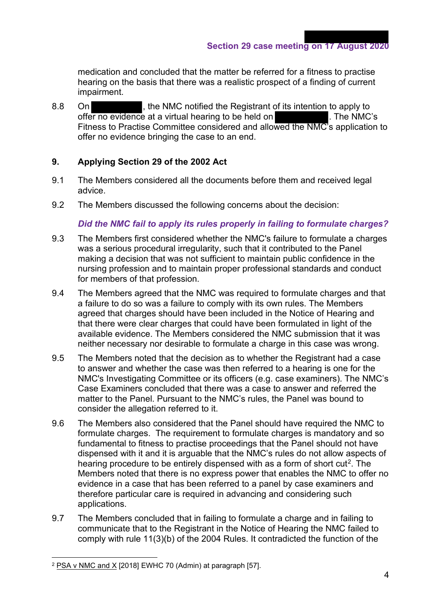**Section 29 case meeting on 17 August 2020**

medication and concluded that the matter be referred for a fitness to practise hearing on the basis that there was a realistic prospect of a finding of current impairment.

8.8 On , the NMC notified the Registrant of its intention to apply to offer no evidence at a virtual hearing to be held on  $\blacksquare$ . The NMC's offer no evidence at a virtual hearing to be held on Fitness to Practise Committee considered and allowed the NMC's application to offer no evidence bringing the case to an end.

## **9. Applying Section 29 of the 2002 Act**

- 9.1 The Members considered all the documents before them and received legal advice.
- 9.2 The Members discussed the following concerns about the decision:

#### *Did the NMC fail to apply its rules properly in failing to formulate charges?*

- 9.3 The Members first considered whether the NMC's failure to formulate a charges was a serious procedural irregularity, such that it contributed to the Panel making a decision that was not sufficient to maintain public confidence in the nursing profession and to maintain proper professional standards and conduct for members of that profession.
- 9.4 The Members agreed that the NMC was required to formulate charges and that a failure to do so was a failure to comply with its own rules. The Members agreed that charges should have been included in the Notice of Hearing and that there were clear charges that could have been formulated in light of the available evidence. The Members considered the NMC submission that it was neither necessary nor desirable to formulate a charge in this case was wrong.
- 9.5 The Members noted that the decision as to whether the Registrant had a case to answer and whether the case was then referred to a hearing is one for the NMC's Investigating Committee or its officers (e.g. case examiners). The NMC's Case Examiners concluded that there was a case to answer and referred the matter to the Panel. Pursuant to the NMC's rules, the Panel was bound to consider the allegation referred to it.
- 9.6 The Members also considered that the Panel should have required the NMC to formulate charges. The requirement to formulate charges is mandatory and so fundamental to fitness to practise proceedings that the Panel should not have dispensed with it and it is arguable that the NMC's rules do not allow aspects of hearing procedure to be entirely dispensed with as a form of short cut<sup>2</sup>. The Members noted that there is no express power that enables the NMC to offer no evidence in a case that has been referred to a panel by case examiners and therefore particular care is required in advancing and considering such applications.
- 9.7 The Members concluded that in failing to formulate a charge and in failing to communicate that to the Registrant in the Notice of Hearing the NMC failed to comply with rule 11(3)(b) of the 2004 Rules. It contradicted the function of the

<sup>2</sup> PSA v NMC and X [2018] EWHC 70 (Admin) at paragraph [57].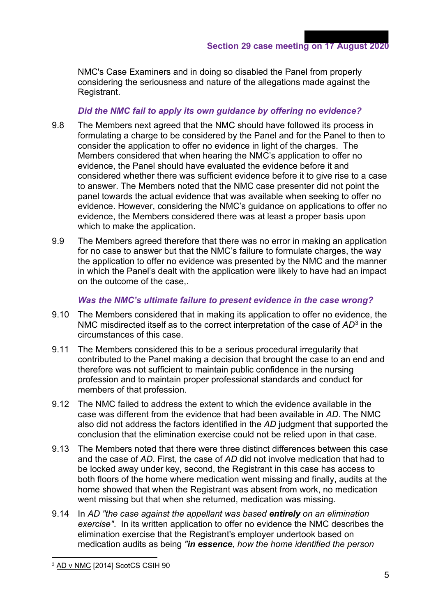NMC's Case Examiners and in doing so disabled the Panel from properly considering the seriousness and nature of the allegations made against the Registrant.

## *Did the NMC fail to apply its own guidance by offering no evidence?*

- 9.8 The Members next agreed that the NMC should have followed its process in formulating a charge to be considered by the Panel and for the Panel to then to consider the application to offer no evidence in light of the charges. The Members considered that when hearing the NMC's application to offer no evidence, the Panel should have evaluated the evidence before it and considered whether there was sufficient evidence before it to give rise to a case to answer. The Members noted that the NMC case presenter did not point the panel towards the actual evidence that was available when seeking to offer no evidence. However, considering the NMC's guidance on applications to offer no evidence, the Members considered there was at least a proper basis upon which to make the application.
- 9.9 The Members agreed therefore that there was no error in making an application for no case to answer but that the NMC's failure to formulate charges, the way the application to offer no evidence was presented by the NMC and the manner in which the Panel's dealt with the application were likely to have had an impact on the outcome of the case,.

#### *Was the NMC's ultimate failure to present evidence in the case wrong?*

- 9.10 The Members considered that in making its application to offer no evidence, the NMC misdirected itself as to the correct interpretation of the case of *AD*<sup>3</sup> in the circumstances of this case.
- 9.11 The Members considered this to be a serious procedural irregularity that contributed to the Panel making a decision that brought the case to an end and therefore was not sufficient to maintain public confidence in the nursing profession and to maintain proper professional standards and conduct for members of that profession.
- 9.12 The NMC failed to address the extent to which the evidence available in the case was different from the evidence that had been available in *AD*. The NMC also did not address the factors identified in the *AD* judgment that supported the conclusion that the elimination exercise could not be relied upon in that case.
- 9.13 The Members noted that there were three distinct differences between this case and the case of *AD*. First, the case of *AD* did not involve medication that had to be locked away under key, second, the Registrant in this case has access to both floors of the home where medication went missing and finally, audits at the home showed that when the Registrant was absent from work, no medication went missing but that when she returned, medication was missing.
- 9.14 In *AD "the case against the appellant was based entirely on an elimination exercise"*. In its written application to offer no evidence the NMC describes the elimination exercise that the Registrant's employer undertook based on medication audits as being *"in essence, how the home identified the person*

<sup>3</sup> AD v NMC [2014] ScotCS CSIH 90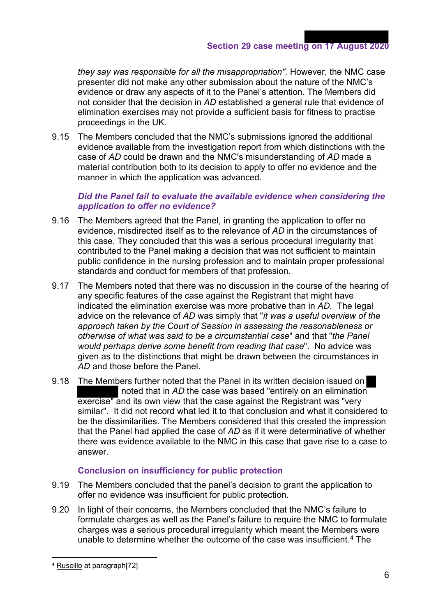*they say was responsible for all the misappropriation".* However, the NMC case presenter did not make any other submission about the nature of the NMC's evidence or draw any aspects of it to the Panel's attention. The Members did not consider that the decision in *AD* established a general rule that evidence of elimination exercises may not provide a sufficient basis for fitness to practise proceedings in the UK.

9.15 The Members concluded that the NMC's submissions ignored the additional evidence available from the investigation report from which distinctions with the case of *AD* could be drawn and the NMC's misunderstanding of *AD* made a material contribution both to its decision to apply to offer no evidence and the manner in which the application was advanced.

## *Did the Panel fail to evaluate the available evidence when considering the application to offer no evidence?*

- 9.16 The Members agreed that the Panel, in granting the application to offer no evidence, misdirected itself as to the relevance of *AD* in the circumstances of this case. They concluded that this was a serious procedural irregularity that contributed to the Panel making a decision that was not sufficient to maintain public confidence in the nursing profession and to maintain proper professional standards and conduct for members of that profession.
- 9.17 The Members noted that there was no discussion in the course of the hearing of any specific features of the case against the Registrant that might have indicated the elimination exercise was more probative than in *AD*. The legal advice on the relevance of *AD* was simply that "*it was a useful overview of the approach taken by the Court of Session in assessing the reasonableness or otherwise of what was said to be a circumstantial case*" and that "*the Panel would perhaps derive some benefit from reading that case*". No advice was given as to the distinctions that might be drawn between the circumstances in *AD* and those before the Panel.
- 9.18 The Members further noted that the Panel in its written decision issued on noted that in *AD* the case was based "entirely on an elimination exercise" and its own view that the case against the Registrant was "very similar". It did not record what led it to that conclusion and what it considered to be the dissimilarities. The Members considered that this created the impression that the Panel had applied the case of *AD* as if it were determinative of whether there was evidence available to the NMC in this case that gave rise to a case to answer.

## **Conclusion on insufficiency for public protection**

- 9.19 The Members concluded that the panel's decision to grant the application to offer no evidence was insufficient for public protection.
- 9.20 In light of their concerns, the Members concluded that the NMC's failure to formulate charges as well as the Panel's failure to require the NMC to formulate charges was a serious procedural irregularity which meant the Members were unable to determine whether the outcome of the case was insufficient.<sup>4</sup> The

<sup>4</sup> Ruscillo at paragraph[72]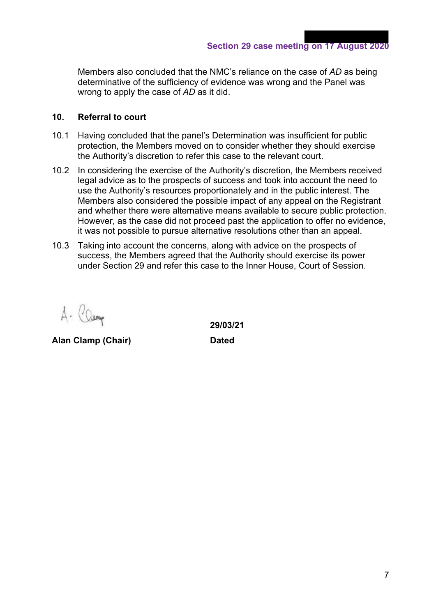**Section 29 case meeting on 17 August 2020**

Members also concluded that the NMC's reliance on the case of *AD* as being determinative of the sufficiency of evidence was wrong and the Panel was wrong to apply the case of *AD* as it did.

#### **10. Referral to court**

- 10.1 Having concluded that the panel's Determination was insufficient for public protection, the Members moved on to consider whether they should exercise the Authority's discretion to refer this case to the relevant court.
- 10.2 In considering the exercise of the Authority's discretion, the Members received legal advice as to the prospects of success and took into account the need to use the Authority's resources proportionately and in the public interest. The Members also considered the possible impact of any appeal on the Registrant and whether there were alternative means available to secure public protection. However, as the case did not proceed past the application to offer no evidence, it was not possible to pursue alternative resolutions other than an appeal.
- 10.3 Taking into account the concerns, along with advice on the prospects of success, the Members agreed that the Authority should exercise its power under Section 29 and refer this case to the Inner House, Court of Session.

Camp  $\Lambda$ 

**Alan Clamp (Chair) Dated**

 **29/03/21**